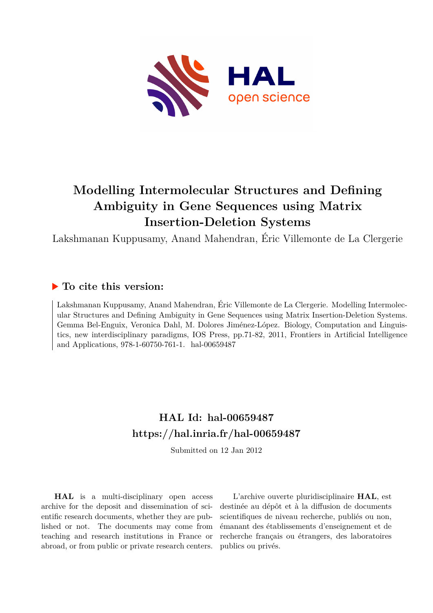

## **Modelling Intermolecular Structures and Defining Ambiguity in Gene Sequences using Matrix Insertion-Deletion Systems**

Lakshmanan Kuppusamy, Anand Mahendran, Éric Villemonte de La Clergerie

### **To cite this version:**

Lakshmanan Kuppusamy, Anand Mahendran, Éric Villemonte de La Clergerie. Modelling Intermolecular Structures and Defining Ambiguity in Gene Sequences using Matrix Insertion-Deletion Systems. Gemma Bel-Enguix, Veronica Dahl, M. Dolores Jiménez-López. Biology, Computation and Linguistics, new interdisciplinary paradigms, IOS Press, pp.71-82, 2011, Frontiers in Artificial Intelligence and Applications, 978-1-60750-761-1. hal-00659487

### **HAL Id: hal-00659487 <https://hal.inria.fr/hal-00659487>**

Submitted on 12 Jan 2012

**HAL** is a multi-disciplinary open access archive for the deposit and dissemination of scientific research documents, whether they are published or not. The documents may come from teaching and research institutions in France or abroad, or from public or private research centers.

L'archive ouverte pluridisciplinaire **HAL**, est destinée au dépôt et à la diffusion de documents scientifiques de niveau recherche, publiés ou non, émanant des établissements d'enseignement et de recherche français ou étrangers, des laboratoires publics ou privés.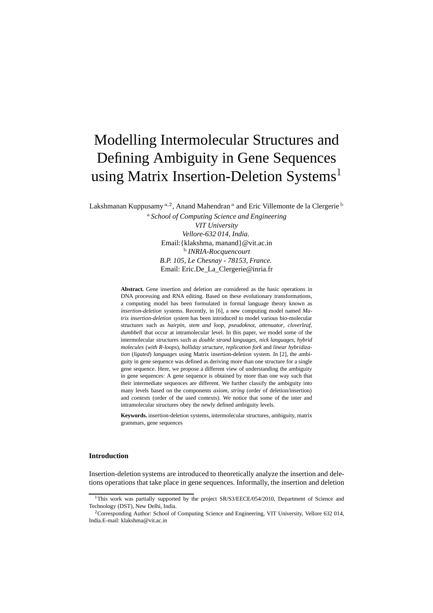# Modelling Intermolecular Structures and Defining Ambiguity in Gene Sequences using Matrix Insertion-Deletion Systems<sup>1</sup>

Lakshmanan Kuppusamy <sup>a, 2</sup>, Anand Mahendran <sup>a</sup> and Eric Villemonte de la Clergerie <sup>b</sup>

<sup>a</sup> *School of Computing Science and Engineering VIT University Vellore-632 014, India.* Email:{klakshma, manand}@vit.ac.in b *INRIA-Rocquencourt B.P. 105, Le Chesnay - 78153, France.* Email: Eric.De\_La\_Clergerie@inria.fr

**Abstract.** Gene insertion and deletion are considered as the basic operations in DNA processing and RNA editing. Based on these evolutionary transformations, a computing model has been formulated in formal language theory known as *insertion-deletion* systems. Recently, in [6], a new computing model named *Matrix insertion-deletion system* has been introduced to model various bio-molecular structures such as *hairpin*, *stem and loop*, *pseudoknot*, *attenuator*, *cloverleaf*, *dumbbell* that occur at intramolecular level. In this paper, we model some of the intermolecular structures such as *double strand languages*, *nick languages*, *hybrid molecules* (*with R-loops*), *holliday structure*, *replication fork* and *linear hybridization* (*ligated*) *languages* using Matrix insertion-deletion system. In [2], the ambiguity in gene sequence was defined as deriving more than one structure for a single gene sequence. Here, we propose a different view of understanding the ambiguity in gene sequences: A gene sequence is obtained by more than one way such that their intermediate sequences are different. We further classify the ambiguity into many levels based on the components *axiom*, *string* (order of deletion/insertion) and *contexts* (order of the used contexts). We notice that some of the inter and intramolecular structures obey the newly defined ambiguity levels.

**Keywords.** insertion-deletion systems, intermolecular structures, ambiguity, matrix grammars, gene sequences

#### **Introduction**

Insertion-deletion systems are introduced to theoretically analyze the insertion and deletions operations that take place in gene sequences. Informally, the insertion and deletion

<sup>&</sup>lt;sup>1</sup>This work was partially supported by the project SR/S3/EECE/054/2010, Department of Science and Technology (DST), New Delhi, India.

<sup>&</sup>lt;sup>2</sup>Corresponding Author: School of Computing Science and Engineering, VIT University, Vellore 632 014, India.E-mail: klakshma@vit.ac.in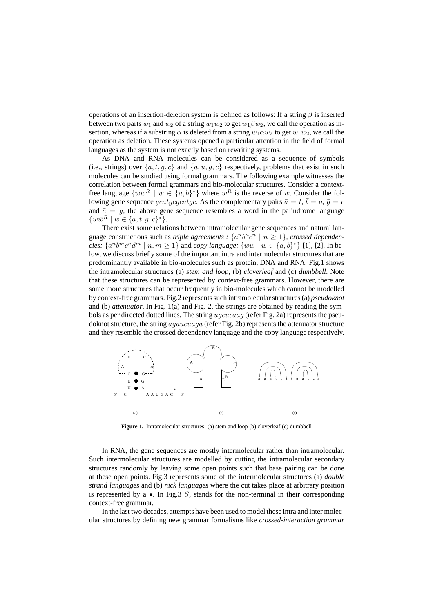operations of an insertion-deletion system is defined as follows: If a string  $\beta$  is inserted between two parts  $w_1$  and  $w_2$  of a string  $w_1w_2$  to get  $w_1\beta w_2$ , we call the operation as insertion, whereas if a substring  $\alpha$  is deleted from a string  $w_1 \alpha w_2$  to get  $w_1 w_2$ , we call the operation as deletion. These systems opened a particular attention in the field of formal languages as the system is not exactly based on rewriting systems.

As DNA and RNA molecules can be considered as a sequence of symbols (i.e., strings) over  $\{a, t, g, c\}$  and  $\{a, u, g, c\}$  respectively, problems that exist in such molecules can be studied using formal grammars. The following example witnesses the correlation between formal grammars and bio-molecular structures. Consider a contextfree language  $\{ww^R \mid w \in \{a, b\}^*\}$  where  $w^R$  is the reverse of w. Consider the following gene sequence *gcatgcgcatgc*. As the complementary pairs  $\bar{a} = t$ ,  $\bar{t} = a$ ,  $\bar{g} = c$ and  $\bar{c} = g$ , the above gene sequence resembles a word in the palindrome language  $\{w\bar{w}^R \mid w \in \{a, t, g, c\}^*\}.$ 

There exist some relations between intramolecular gene sequences and natural language constructions such as *triple agreements* :  $\{a^n b^n c^n \mid n \ge 1\}$ , *crossed dependencies:*  $\{a^n b^m c^n d^m \mid n, m \ge 1\}$  and *copy language:*  $\{ww \mid w \in \{a, b\}^*\}$  [1], [2]. In below, we discuss briefly some of the important intra and intermolecular structures that are predominantly available in bio-molecules such as protein, DNA and RNA. Fig.1 shows the intramolecular structures (a) *stem and loop*, (b) *cloverleaf* and (c) *dumbbell*. Note that these structures can be represented by context-free grammars. However, there are some more structures that occur frequently in bio-molecules which cannot be modelled by context-free grammars. Fig.2 represents such intramolecular structures (a) *pseudoknot* and (b) *attenuator*. In Fig. 1(a) and Fig. 2, the strings are obtained by reading the symbols as per directed dotted lines. The string ugcucaag (refer Fig. 2a) represents the pseudoknot structure, the string *agaucuaga* (refer Fig. 2b) represents the attenuator structure and they resemble the crossed dependency language and the copy language respectively.



Figure 1. Intramolecular structures: (a) stem and loop (b) cloverleaf (c) dumbbell

In RNA, the gene sequences are mostly intermolecular rather than intramolecular. Such intermolecular structures are modelled by cutting the intramolecular secondary structures randomly by leaving some open points such that base pairing can be done at these open points. Fig.3 represents some of the intermolecular structures (a) *double strand languages* and (b) *nick languages* where the cut takes place at arbitrary position is represented by  $a \bullet$ . In Fig. 3 S, stands for the non-terminal in their corresponding context-free grammar.

In the last two decades, attempts have been used to model these intra and inter molecular structures by defining new grammar formalisms like *crossed-interaction grammar*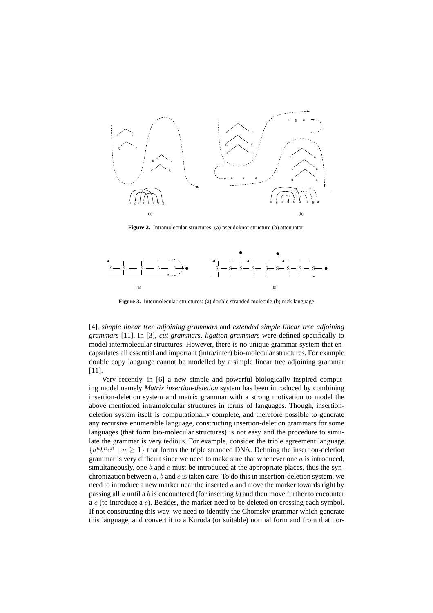

**Figure 2.** Intramolecular structures: (a) pseudoknot structure (b) attenuator



**Figure 3.** Intermolecular structures: (a) double stranded molecule (b) nick language

[4], *simple linear tree adjoining grammars* and *extended simple linear tree adjoining grammars* [11]. In [3], *cut grammars*, *ligation grammars* were defined specifically to model intermolecular structures. However, there is no unique grammar system that encapsulates all essential and important (intra/inter) bio-molecular structures. For example double copy language cannot be modelled by a simple linear tree adjoining grammar [11].

Very recently, in [6] a new simple and powerful biologically inspired computing model namely *Matrix insertion-deletion* system has been introduced by combining insertion-deletion system and matrix grammar with a strong motivation to model the above mentioned intramolecular structures in terms of languages. Though, insertiondeletion system itself is computationally complete, and therefore possible to generate any recursive enumerable language, constructing insertion-deletion grammars for some languages (that form bio-molecular structures) is not easy and the procedure to simulate the grammar is very tedious. For example, consider the triple agreement language  ${a^n b^n c^n \mid n \ge 1}$  that forms the triple stranded DNA. Defining the insertion-deletion grammar is very difficult since we need to make sure that whenever one  $a$  is introduced, simultaneously, one b and c must be introduced at the appropriate places, thus the synchronization between a, b and c is taken care. To do this in insertion-deletion system, we need to introduce a new marker near the inserted  $a$  and move the marker towards right by passing all  $\alpha$  until a  $\delta$  is encountered (for inserting  $\delta$ ) and then move further to encounter a c (to introduce a c). Besides, the marker need to be deleted on crossing each symbol. If not constructing this way, we need to identify the Chomsky grammar which generate this language, and convert it to a Kuroda (or suitable) normal form and from that nor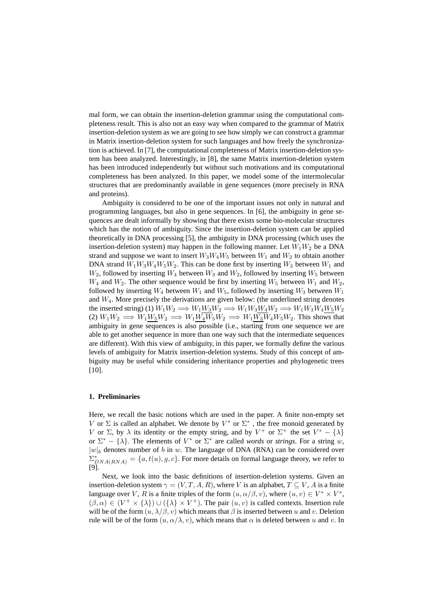mal form, we can obtain the insertion-deletion grammar using the computational completeness result. This is also not an easy way when compared to the grammar of Matrix insertion-deletion system as we are going to see how simply we can construct a grammar in Matrix insertion-deletion system for such languages and how freely the synchronization is achieved. In [7], the computational completeness of Matrix insertion-deletion system has been analyzed. Interestingly, in [8], the same Matrix insertion-deletion system has been introduced independently but without such motivations and its computational completeness has been analyzed. In this paper, we model some of the intermolecular structures that are predominantly available in gene sequences (more precisely in RNA and proteins).

Ambiguity is considered to be one of the important issues not only in natural and programming languages, but also in gene sequences. In [6], the ambiguity in gene sequences are dealt informally by showing that there exists some bio-molecular structures which has the notion of ambiguity. Since the insertion-deletion system can be applied theoretically in DNA processing [5], the ambiguity in DNA processing (which uses the insertion-deletion system) may happen in the following manner. Let  $W_1W_2$  be a DNA strand and suppose we want to insert  $W_3W_4W_5$  between  $W_1$  and  $W_2$  to obtain another DNA strand  $W_1W_3W_4W_5W_2$ . This can be done first by inserting  $W_3$  between  $W_1$  and  $W_2$ , followed by inserting  $W_4$  between  $W_3$  and  $W_2$ , followed by inserting  $W_5$  between  $W_4$  and  $W_2$ . The other sequence would be first by inserting  $W_5$  between  $W_1$  and  $W_2$ , followed by inserting  $W_4$  between  $W_1$  and  $W_5$ , followed by inserting  $W_3$  between  $W_1$ and  $W_4$ . More precisely the derivations are given below: (the underlined string denotes the inserted string) (1)  $W_1W_2 \Longrightarrow W_1W_3W_2 \Longrightarrow W_1W_3W_4W_2 \Longrightarrow W_1W_3W_4W_5W_2$ (2)  $W_1W_2 \implies W_1W_5W_2 \implies W_1W_4W_5W_2 \implies W_1W_3W_4W_5W_2$ . This shows that ambiguity in gene sequences is also possible (i.e., starting from one sequence we are able to get another sequence in more than one way such that the intermediate sequences are different). With this view of ambiguity, in this paper, we formally define the various levels of ambiguity for Matrix insertion-deletion systems. Study of this concept of ambiguity may be useful while considering inheritance properties and phylogenetic trees [10].

#### **1. Preliminaries**

Here, we recall the basic notions which are used in the paper. A finite non-empty set V or  $\Sigma$  is called an alphabet. We denote by  $V^*$  or  $\Sigma^*$  , the free monoid generated by V or  $\Sigma$ , by  $\lambda$  its identity or the empty string, and by  $V^+$  or  $\Sigma^+$  the set  $V^* - {\lambda}$ or  $\Sigma^* - \{\lambda\}$ . The elements of  $V^*$  or  $\Sigma^*$  are called *words* or *strings*. For a string w,  $|w|_b$  denotes number of b in w. The language of DNA (RNA) can be considered over  $\Sigma_{DNA(RNA)}^* = \{a, t(u), g, c\}$ . For more details on formal language theory, we refer to [9].

Next, we look into the basic definitions of insertion-deletion systems. Given an insertion-deletion system  $\gamma = (V, T, A, R)$ , where V is an alphabet,  $T \subseteq V$ , A is a finite language over V, R is a finite triples of the form  $(u, \alpha/\beta, v)$ , where  $(u, v) \in V^* \times V^*$ ,  $(\beta, \alpha) \in (V^+ \times \{\lambda\}) \cup (\{\lambda\} \times V^+)$ . The pair  $(u, v)$  is called contexts. Insertion rule will be of the form  $(u, \lambda/\beta, v)$  which means that  $\beta$  is inserted between u and v. Deletion rule will be of the form  $(u, \alpha/\lambda, v)$ , which means that  $\alpha$  is deleted between u and v. In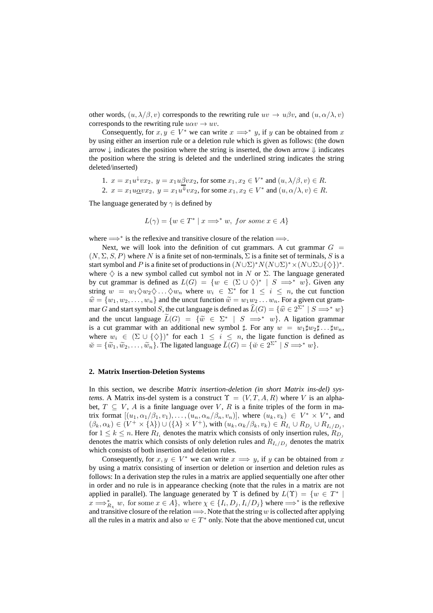other words,  $(u, \lambda/\beta, v)$  corresponds to the rewriting rule  $uv \to u\beta v$ , and  $(u, \alpha/\lambda, v)$ corresponds to the rewriting rule  $u\alpha v \rightarrow uv$ .

Consequently, for  $x, y \in V^*$  we can write  $x \Longrightarrow^* y$ , if y can be obtained from x by using either an insertion rule or a deletion rule which is given as follows: (the down arrow  $\downarrow$  indicates the position where the string is inserted, the down arrow  $\downarrow$  indicates the position where the string is deleted and the underlined string indicates the string deleted/inserted)

1. 
$$
x = x_1 u^{\downarrow} v x_2
$$
,  $y = x_1 u \beta v x_2$ , for some  $x_1, x_2 \in V^*$  and  $(u, \lambda/\beta, v) \in R$ .

2.  $x = x_1 u \underline{\alpha} v x_2, y = x_1 u^{\Downarrow} v x_2$ , for some  $x_1, x_2 \in V^*$  and  $(u, \alpha/\lambda, v) \in R$ .

The language generated by  $\gamma$  is defined by

$$
L(\gamma) = \{ w \in T^* \mid x \Longrightarrow^* w, \text{ for some } x \in A \}
$$

where  $\Longrightarrow^*$  is the reflexive and transitive closure of the relation  $\Longrightarrow$ .

Next, we will look into the definition of cut grammars. A cut grammar  $G =$  $(N, \Sigma, S, P)$  where N is a finite set of non-terminals,  $\Sigma$  is a finite set of terminals, S is a start symbol and P is a finite set of productions in  $(N \cup \Sigma)^* N(N \cup \Sigma)^* \times (N \cup \Sigma \cup \{\diamondsuit\})^*$ . where  $\diamondsuit$  is a new symbol called cut symbol not in N or  $\Sigma$ . The language generated by cut grammar is defined as  $L(G) = \{w \in (\Sigma \cup \diamondsuit)^* \mid S \implies^* w\}$ . Given any string  $w = w_1 \Diamond w_2 \Diamond \dots \Diamond w_n$  where  $w_i \in \Sigma^*$  for  $1 \le i \le n$ , the cut function  $\hat{w} = \{w_1, w_2, \dots, w_n\}$  and the uncut function  $\tilde{w} = w_1w_2 \dots w_n$ . For a given cut grammar G and start symbol S, the cut language is defined as  $\widetilde{L}(G) = \{ \widehat{w} \in 2^{\Sigma^*} \mid S \Longrightarrow^* w \}$ and the uncut language  $\widetilde{L}(G) = \{ \widetilde{w} \in \Sigma^* \mid S \implies^* w \}$ . A ligation grammar is a cut grammar with an additional new symbol  $\sharp$ . For any  $w = w_1 \sharp w_2 \sharp \dots \sharp w_n$ , where  $w_i \in (\Sigma \cup \{\diamondsuit\})^*$  for each  $1 \leq i \leq n$ , the ligate function is defined as  $\widetilde{w} = \{\widetilde{w}_1, \widetilde{w}_2, \ldots, \widetilde{w}_n\}.$  The ligated language  $\widetilde{L}(G) = \{\widetilde{w} \in 2^{\Sigma^*} \mid S \Longrightarrow^* w\}.$ 

#### **2. Matrix Insertion-Deletion Systems**

In this section, we describe *Matrix insertion-deletion (in short Matrix ins-del) systems*. A Matrix ins-del system is a construct  $\Upsilon = (V, T, A, R)$  where V is an alphabet,  $T \subseteq V$ , A is a finite language over V, R is a finite triples of the form in matrix format  $[(u_1, \alpha_1/\beta_1, v_1), \ldots, (u_n, \alpha_n/\beta_n, v_n)],$  where  $(u_k, v_k) \in V^* \times V^*$ , and  $(\beta_k, \alpha_k) \in (V^+ \times \{\lambda\}) \cup (\{\lambda\} \times V^+),$  with  $(u_k, \alpha_k/\beta_k, v_k) \in R_{I_i} \cup R_{D_j} \cup R_{I_i/D_j},$ for  $1 \leq k \leq n$ . Here  $R_{I_i}$  denotes the matrix which consists of only insertion rules,  $R_{D_i}$ denotes the matrix which consists of only deletion rules and  $R_{I_i/D_j}$  denotes the matrix which consists of both insertion and deletion rules.

Consequently, for  $x, y \in V^*$  we can write  $x \implies y$ , if y can be obtained from x by using a matrix consisting of insertion or deletion or insertion and deletion rules as follows: In a derivation step the rules in a matrix are applied sequentially one after other in order and no rule is in appearance checking (note that the rules in a matrix are not applied in parallel). The language generated by  $\Upsilon$  is defined by  $L(\Upsilon) = \{w \in T^* \mid$  $x \Longrightarrow_{R_\chi}^* w$ , for some  $x \in A$ , where  $\chi \in \{I_i, D_j, I_i/D_j\}$  where  $\Longrightarrow^*$  is the reflexive and transitive closure of the relation  $\Longrightarrow$ . Note that the string w is collected after applying all the rules in a matrix and also  $w \in T^*$  only. Note that the above mentioned cut, uncut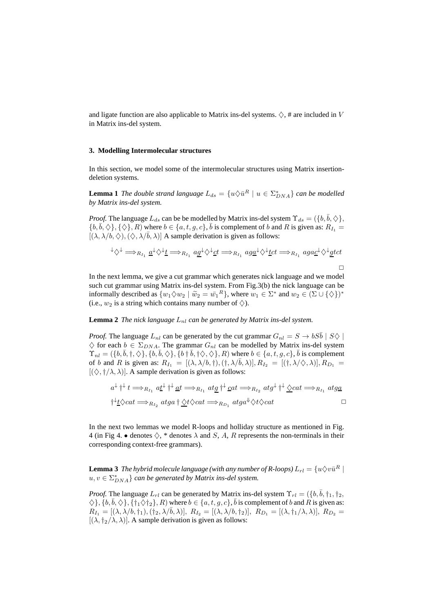and ligate function are also applicable to Matrix ins-del systems.  $\diamondsuit$ , # are included in V in Matrix ins-del system.

#### **3. Modelling Intermolecular structures**

In this section, we model some of the intermolecular structures using Matrix insertiondeletion systems.

**Lemma 1** *The double strand language*  $L_{ds} = \{u \diamond \bar{u}^R \mid u \in \Sigma_{DNA}^*\}$  *can be modelled by Matrix ins-del system.*

*Proof.* The language  $L_{ds}$  can be be modelled by Matrix ins-del system  $\Upsilon_{ds} = (\{b, \bar{b}, \Diamond\})$ ,  $\{b, \overline{b}, \diamondsuit\}, \{\diamondsuit\}, R)$  where  $b \in \{a, t, g, c\}, \overline{b}$  is complement of b and R is given as:  $R_{I_1} =$  $[(\lambda, \lambda/b, \diamondsuit), (\diamondsuit, \lambda/\overline{b}, \lambda)]$  A sample derivation is given as follows:

$$
\forall \Diamond^{\downarrow} \Longrightarrow_{R_{I_1}} \underline{a}^{\downarrow} \Diamond^{\downarrow} \underline{t} \Longrightarrow_{R_{I_1}} a \underline{g}^{\downarrow} \Diamond^{\downarrow} \underline{c}t \Longrightarrow_{R_{I_1}} ag \underline{a}^{\downarrow} \Diamond^{\downarrow} \underline{t}ct \Longrightarrow_{R_{I_1}} ag \underline{a}^{\downarrow} \Diamond^{\downarrow} \underline{g}tct
$$

In the next lemma, we give a cut grammar which generates nick language and we model such cut grammar using Matrix ins-del system. From Fig.3(b) the nick language can be informally described as  $\{w_1 \diamond w_2 \mid \tilde{w}_2 = \bar{w_1}^R\}$ , where  $w_1 \in \Sigma^*$  and  $w_2 \in (\Sigma \cup \{\diamondsuit\})^*$ (i.e.,  $w_2$  is a string which contains many number of  $\diamondsuit$ ).

#### **Lemma 2** *The nick language*  $L_{nl}$  *can be generated by Matrix ins-del system.*

*Proof.* The language  $L_{nl}$  can be generated by the cut grammar  $G_{nl} = S \rightarrow bS\overline{b} \mid S\Diamond \mid$  $\diamondsuit$  for each  $b \in \Sigma_{DNA}$ . The grammar  $G_{nl}$  can be modelled by Matrix ins-del system  $\Upsilon_{nl} = (\{b, \bar{b}, \dagger, \diamondsuit\}, \{b, \bar{b}, \diamondsuit\}, \{b \dagger \bar{b}, \dagger \diamondsuit, \diamondsuit\}, R)$  where  $b \in \{a, t, g, c\}, \bar{b}$  is complement of b and R is given as:  $R_{I_1} = [(\lambda, \lambda/b, \dagger), (\dagger, \lambda/\overline{b}, \lambda)], R_{I_2} = [(\dagger, \lambda/\Diamond, \lambda)], R_{D_1} =$  $[(\diamondsuit, \dagger/\lambda, \lambda)]$ . A sample derivation is given as follows:

$$
a^{\downarrow} \uparrow^{\downarrow} t \Longrightarrow_{R_{I_1}} a \underline{t}^{\downarrow} \uparrow^{\downarrow} \underline{a}t \Longrightarrow_{R_{I_1}} a \underline{t} \underline{g} \uparrow^{\downarrow} \underline{c}at \Longrightarrow_{R_{I_2}} a \underline{t} \underline{g}^{\downarrow} \uparrow^{\downarrow} \underline{\Diamond cat} \Longrightarrow_{R_{I_1}} a \underline{t} \underline{g} \underline{a}
$$
  

$$
\uparrow^{\downarrow} \underline{t} \Diamond cat \Longrightarrow_{R_{I_2}} a \underline{t} \underline{g} \underline{a} \uparrow \underline{\Diamond t} \Diamond cat \Longrightarrow_{R_{D_1}} a \underline{t} \underline{g} \underline{a}^{\downarrow} \Diamond t \Diamond cat \Box
$$

In the next two lemmas we model R-loops and holliday structure as mentioned in Fig. 4 (in Fig 4. • denotes  $\diamondsuit$ , \* denotes  $\lambda$  and  $S$ ,  $A$ ,  $R$  represents the non-terminals in their corresponding context-free grammars).

 ${\bf Lemma\ 3}$  *The hybrid molecule language (with any number of R-loops)*  $L_{rl}=\{u\Diamond v\bar{u}^R\mid$  $u, v \in \Sigma_{DNA}^{*} \}$  can be generated by Matrix ins-del system.

*Proof.* The language  $L_{rl}$  can be generated by Matrix ins-del system  $\Upsilon_{rl} = (\{b, \bar{b}, \dagger_1, \dagger_2, \dagger_3, \dagger_4, \dagger_5, \dagger_6, \dagger_7, \dagger_8, \dagger_9, \dagger_9, \dagger_9, \dagger_9, \dagger_9, \dagger_9, \dagger_9, \dagger_9, \dagger_9, \dagger_9, \dagger_9, \dagger_9, \dagger_9, \dagger_9, \$  $\Diamond$ ,  $\{b, \bar{b}, \Diamond\}$ ,  $\{\dagger_1 \Diamond \dagger_2\}$ ,  $R$ ) where  $b \in \{a, t, g, c\}$ ,  $\bar{b}$  is complement of  $b$  and  $R$  is given as:  $R_{I_1} = [(\lambda, \lambda/b, \dagger_1), (\dagger_2, \lambda/\bar{b}, \lambda)], R_{I_2} = [(\lambda, \lambda/b, \dagger_2)], R_{D_1} = [(\lambda, \dagger_1/\lambda, \lambda)], R_{D_2} =$  $[(\lambda, \dagger_2/\lambda, \lambda)]$ . A sample derivation is given as follows: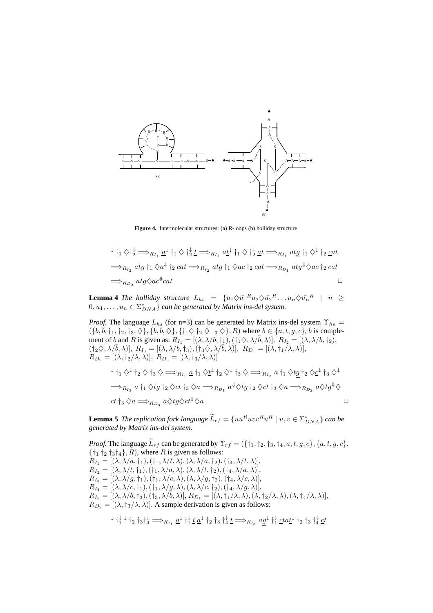

**Figure 4.** Intermolecular structures: (a) R-loops (b) holliday structure

$$
\downarrow \dagger_1 \diamondsuit \dagger_2^{\downarrow} \Longrightarrow_{R_{I_1}} \underline{a}^{\downarrow} \dagger_1 \diamondsuit \dagger_2^{\downarrow} \underline{t} \Longrightarrow_{R_{I_1}} a \underline{t}^{\downarrow} \dagger_1 \diamondsuit \dagger_2^{\downarrow} \underline{a}t \Longrightarrow_{R_{I_1}} a \underline{t} \underline{g} \dagger_1 \diamondsuit^{\downarrow} \dagger_2 \underline{c}at
$$
  
\n
$$
\Longrightarrow_{R_{I_2}} a \underline{t} \underline{g} \dagger_1 \diamondsuit \underline{a}^{\downarrow} \dagger_2 \underline{c}at \Longrightarrow_{R_{I_2}} a \underline{t} \underline{g} \dagger_1 \diamondsuit a \underline{c} \dagger_2 \underline{c}at \Longrightarrow_{R_{D_1}} a \underline{t} \underline{g}^{\downarrow} \diamondsuit ac \dagger_2 \underline{c}at
$$
  
\n
$$
\Longrightarrow_{R_{D_2}} a \underline{t} \underline{g} \diamondsuit ac^{\Downarrow} \underline{c}at
$$

**Lemma 4** *The holliday structure*  $L_{hs} = \{u_1 \diamondsuit u_1^R u_2 \diamondsuit u_2^R \dots u_n \diamondsuit u_n^R \mid n \geq$  $(0, u_1, \ldots, u_n \in \Sigma_{DNA}^* \}$  can be generated by Matrix ins-del system.

*Proof.* The language  $L_{hs}$  (for n=3) can be generated by Matrix ins-del system  $\Upsilon_{hs}$  =  $(\{b,\bar{b},\dagger_1,\dagger_2,\dagger_3,\diamondsuit\},\{b,\bar{b},\diamondsuit\},\{\dagger_1\diamondsuit\dagger_2\diamondsuit\dagger_3\diamondsuit\},R)$  where  $b\in\{a,t,g,c\},\bar{b}$  is complement of b and R is given as:  $R_{I_1} = [(\lambda, \lambda/b, \dagger_1), (\dagger_1 \Diamond, \lambda/\overline{b}, \lambda)], R_{I_2} = [(\lambda, \lambda/b, \dagger_2),$  $(t_2\diamondsuit, \lambda/\overline{b}, \lambda)$ ],  $R_{I_3} = [(\lambda, \lambda/b, t_3), (t_3\diamondsuit, \lambda/\overline{b}, \lambda)]$ ,  $R_{D_1} = [(\lambda, t_1/\lambda, \lambda)]$ ,  $R_{D_2} = [(\lambda, \dagger_2/\lambda, \lambda)], R_{D_3} = [(\lambda, \dagger_3/\lambda, \lambda)]$ 

$$
\downarrow \dagger_1 \diamondsuit \downarrow \dagger_2 \diamondsuit \dagger_3 \diamondsuit \Longrightarrow_{R_{I_1}} \underline{a} \dagger_1 \diamondsuit \underline{t} \downarrow \dagger_2 \diamondsuit \dagger_3 \diamondsuit \Longrightarrow_{R_{I_2}} a \dagger_1 \diamondsuit t \underline{g} \dagger_2 \diamondsuit \underline{c} \downarrow \dagger_3 \diamondsuit \newline \Longrightarrow_{R_{I_3}} a \dagger_1 \diamondsuit t \underline{g} \dagger_2 \diamondsuit c \underline{t} \dagger_3 \diamondsuit \underline{a} \Longrightarrow_{R_{D_1}} a^{\Downarrow} \diamondsuit t \underline{g} \dagger_2 \diamondsuit c \underline{t} \dagger_3 \diamondsuit a \Longrightarrow_{R_{D_2}} a \diamondsuit t \underline{g}^{\Downarrow} \diamondsuit
$$
  

$$
ct \dagger_3 \diamondsuit a \Longrightarrow_{R_{D_3}} a \diamondsuit t \underline{g} \diamondsuit ct^{\Downarrow} \diamondsuit a
$$

**Lemma 5** *The replication fork language*  $\widetilde{L}_{rf} = \{u\overline{u}^R u v \overline{v}^R \overline{u}^R \mid u, v \in \Sigma_{DNA}^*\}$  *can be generated by Matrix ins-del system.*

*Proof.* The language  $\widetilde{L}_{rf}$  can be generated by  $\Upsilon_{rf} = (\{\dagger_1, \dagger_2, \dagger_3, \dagger_4, a, t, g, c\}, \{a, t, g, c\},\$  $\{\dagger_1 \dagger_2 \dagger_3 \dagger_4\}, R$ , where R is given as follows:  $R_{I_1} = [(\lambda, \lambda/a, \dagger_1), (\dagger_1, \lambda/t, \lambda), (\lambda, \lambda/a, \dagger_2), (\dagger_4, \lambda/t, \lambda)],$  $R_{I_2} = [(\lambda, \lambda/t, \dagger_1), (\dagger_1, \lambda/a, \lambda), (\lambda, \lambda/t, \dagger_2), (\dagger_4, \lambda/a, \lambda)],$  $R_{I_3}=[(\lambda,\lambda/g,\dagger_1),(\dagger_1,\lambda/c,\lambda),(\lambda,\lambda/g,\dagger_2),(\dagger_4,\lambda/c,\lambda)],$  $R_{I_4}=[(\lambda,\lambda/c,\dagger_1),(\dagger_1,\lambda/g,\lambda),(\lambda,\lambda/c,\dagger_2),(\dagger_4,\lambda/g,\lambda)],$  $R_{I_5} = [(\lambda, \lambda/b, \dagger_3),(\dagger_3, \lambda/\bar{b}, \lambda)], R_{D_1} = [(\lambda, \dagger_1/\lambda, \lambda),(\lambda, \dagger_2/\lambda, \lambda),(\lambda, \dagger_4/\lambda, \lambda)],$  $R_{D_2} = [(\lambda, \dagger_3/\lambda, \lambda)].$  A sample derivation is given as follows:

$$
\downarrow \dagger_1^{\downarrow} \downarrow \dagger_2 \dagger_3 \dagger_4^{\downarrow} \Longrightarrow_{R_{I_1}} \underline{a}^{\downarrow} \dagger_1^{\downarrow} \underline{t} \underline{a}^{\downarrow} \dagger_2 \dagger_3 \dagger_4^{\downarrow} \underline{t} \Longrightarrow_{R_{I_3}} a \underline{g}^{\downarrow} \dagger_1^{\downarrow} \underline{c} t a \underline{t}^{\downarrow} \dagger_2 \dagger_3 \dagger_4^{\downarrow} \underline{c} t
$$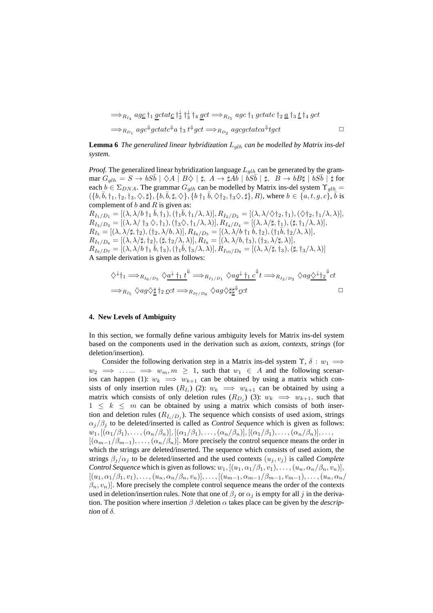=⇒RI<sup>4</sup> agc †<sup>1</sup> gctatc † ↓ 2 † ↓ 3 †<sup>4</sup> gct =⇒RI<sup>5</sup> agc †<sup>1</sup> gctatc †<sup>2</sup> a †<sup>3</sup> t †<sup>4</sup> gct =⇒RD<sup>1</sup> agc⇓ gctatc⇓ a †<sup>3</sup> t ⇓ gct =⇒RD<sup>2</sup> agcgctatca⇓ tgct ✷

**Lemma 6** *The generalized linear hybridization*  $L_{q/h}$  *can be modelled by Matrix ins-del system.*

*Proof.* The generalized linear hybridization language  $L_{glh}$  can be generated by the grammar  $G_{glh} = S \rightarrow bS\bar{b} | \diamondsuit A | B \diamondsuit | \sharp, A \rightarrow \sharp Ab | bS\bar{b} | \sharp, B \rightarrow bB\sharp | bS\bar{b} | \sharp$  for each  $b \in \Sigma_{DNA}$ . The grammar  $G_{alh}$  can be modelled by Matrix ins-del system  $\Upsilon_{alh}$  =  $(\{b,\bar{b},\dagger_1,\dagger_2,\dagger_3,\diamondsuit,\sharp\},\{b,\bar{b},\sharp,\diamondsuit\},\{b\dagger_1\ \bar{b},\diamondsuit\dagger_2,\dagger_3\diamondsuit,\sharp\},R)$ , where  $b\in\{a,t,g,c\}$ ,  $\bar{b}$  is complement of  $b$  and  $R$  is given as:

 $R_{I_1/D_1} = [(\lambda, \lambda/b \dagger_1 \bar{b}, \dagger_1), (\dagger_1 \bar{b}, \dagger_1/\lambda, \lambda)], R_{I_2/D_2} = [(\lambda, \lambda/\Diamond \dagger_2, \dagger_1), (\Diamond \dagger_2, \dagger_1/\lambda, \lambda)],$  $R_{I_3/D_3} = [(\lambda, \lambda/\dagger_3 \diamondsuit, \dagger_1), (\dagger_3 \diamondsuit, \dagger_1/\lambda, \lambda)], R_{I_4/D_4} = [(\lambda, \lambda/\sharp, \dagger_1), (\sharp, \dagger_1/\lambda, \lambda)],$  $R_{I_5} = [(\lambda, \lambda/\sharp, \dagger_2), (\dagger_2, \lambda/b, \lambda)], R_{I_6/D_5} = [(\lambda, \lambda/b \dagger_1 \bar{b}, \dagger_2), (\dagger_1 \bar{b}, \dagger_2/\lambda, \lambda)],$  $R_{I_7/D_6}=[(\lambda,\lambda/\sharp,\dagger_2),(\sharp,\dagger_2/\lambda,\lambda)], R_{I_8}=[(\lambda,\lambda/b,\dagger_3),(\dagger_3,\lambda/\sharp,\lambda)],$  $R_{I_9/D_7} = [(\lambda, \lambda/b \dagger_1 \bar{b}, \dagger_3), (\dagger_1 \bar{b}, \dagger_3/\lambda, \lambda)], R_{I_{10}/D_8} = [(\lambda, \lambda/\sharp, \dagger_3), (\sharp, \dagger_3/\lambda, \lambda)]$ A sample derivation is given as follows:

$$
\diamondsuit^{\downarrow\dagger_1} \Longrightarrow_{R_{I_6/D_5}} \diamondsuit_{\underline{a}}^{\downarrow}\dagger_1 t^{\downarrow} \Longrightarrow_{R_{I_1/D_1}} \diamondsuit_{\underline{a}}^{\downarrow}\dagger_1 c^{\downarrow} t \Longrightarrow_{R_{I_2/D_2}} \diamondsuit_{\underline{a}}^{\downarrow}\diamondsuit_{\underline{t}}^{\downarrow} t
$$
  

$$
\Longrightarrow_{R_{I_5}} \diamondsuit_{\underline{a}}^{\downarrow}\diamondsuit_{\underline{t}}^{\downarrow} \dagger_2 \underline{c} ct \Longrightarrow_{R_{I_7/D_6}} \diamondsuit_{\underline{a}}^{\downarrow}\diamondsuit_{\underline{t}}^{\downarrow} \underline{c} ct
$$

#### **4. New Levels of Ambiguity**

In this section, we formally define various ambiguity levels for Matrix ins-del system based on the components used in the derivation such as *axiom*, *contexts*, *strings* (for deletion/insertion).

Consider the following derivation step in a Matrix ins-del system  $\Upsilon$ ,  $\delta : w_1 \implies$  $w_2 \implies \ldots \implies w_m, m \geq 1$ , such that  $w_1 \in A$  and the following scenarios can happen (1):  $w_k \implies w_{k+1}$  can be obtained by using a matrix which consists of only insertion rules  $(R_{I_i})$  (2):  $w_k \implies w_{k+1}$  can be obtained by using a matrix which consists of only deletion rules  $(R_{D_j})$  (3):  $w_k \implies w_{k+1}$ , such that  $1 \leq k \leq m$  can be obtained by using a matrix which consists of both insertion and deletion rules  $(R_{I_i/D_j})$ . The sequence which consists of used axiom, strings  $\alpha_j/\beta_j$  to be deleted/inserted is called as *Control Sequence* which is given as follows:  $w_1, [(\alpha_1/\beta_1), \ldots, (\alpha_n/\beta_n)], [(\alpha_1/\beta_1), \ldots, (\alpha_n/\beta_n)], [(\alpha_1/\beta_1), \ldots, (\alpha_n/\beta_n)], \ldots,$  $[(\alpha_{m-1}/\beta_{m-1}), \ldots, (\alpha_n/\beta_n)]$ . More precisely the control sequence means the order in which the strings are deleted/inserted. The sequence which consists of used axiom, the strings  $\beta_i/\alpha_j$  to be deleted/inserted and the used contexts  $(u_i, v_j)$  is called *Complete Control Sequence* which is given as follows:  $w_1$ ,  $[(u_1, \alpha_1/\beta_1, v_1), \ldots, (u_n, \alpha_n/\beta_n, v_n)],$  $[(u_1, \alpha_1/\beta_1, v_1), \ldots, (u_n, \alpha_n/\beta_n, v_n)], \ldots, [(u_{m-1}, \alpha_{m-1}/\beta_{m-1}, v_{m-1}), \ldots, (u_n, \alpha_n/\beta_n, v_n)]$  $(\beta_n, v_n)$ ]. More precisely the complete control sequence means the order of the contexts used in deletion/insertion rules. Note that one of  $\beta_i$  or  $\alpha_j$  is empty for all j in the derivation. The position where insertion β /deletion α takes place can be given by the *description* of  $\delta$ .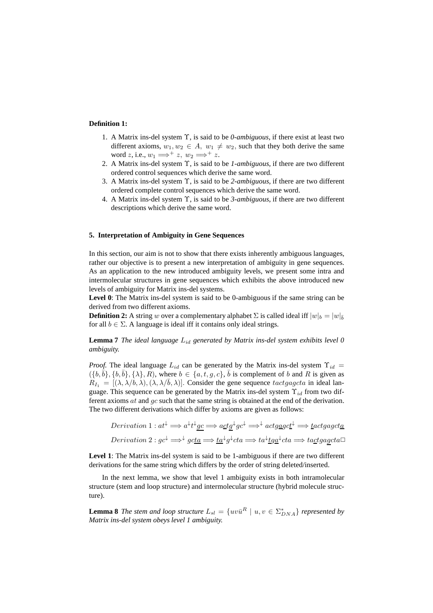#### **Definition 1:**

- 1. A Matrix ins-del system Υ, is said to be *0-ambiguous*, if there exist at least two different axioms,  $w_1, w_2 \in A$ ,  $w_1 \neq w_2$ , such that they both derive the same word z, i.e.,  $w_1 \Longrightarrow^+ z$ ,  $w_2 \Longrightarrow^+ z$ .
- 2. A Matrix ins-del system Υ, is said to be *1-ambiguous*, if there are two different ordered control sequences which derive the same word.
- 3. A Matrix ins-del system Υ, is said to be *2-ambiguous*, if there are two different ordered complete control sequences which derive the same word.
- 4. A Matrix ins-del system Υ, is said to be *3-ambiguous*, if there are two different descriptions which derive the same word.

#### **5. Interpretation of Ambiguity in Gene Sequences**

In this section, our aim is not to show that there exists inherently ambiguous languages, rather our objective is to present a new interpretation of ambiguity in gene sequences. As an application to the new introduced ambiguity levels, we present some intra and intermolecular structures in gene sequences which exhibits the above introduced new levels of ambiguity for Matrix ins-del systems.

Level 0: The Matrix ins-del system is said to be 0-ambiguous if the same string can be derived from two different axioms.

**Definition 2:** A string w over a complementary alphabet  $\Sigma$  is called ideal iff  $|w|_b = |w|_{\bar{b}}$ for all  $b \in \Sigma$ . A language is ideal iff it contains only ideal strings.

**Lemma 7** *The ideal language* Lid *generated by Matrix ins-del system exhibits level 0 ambiguity.*

*Proof.* The ideal language  $L_{id}$  can be generated by the Matrix ins-del system  $\Upsilon_{id}$  =  $({b, \overline{b}}), {b, \overline{b}}$ ,  ${\lambda}, R$ , where  $b \in {a, t, g, c}$ ,  $\overline{b}$  is complement of b and R is given as  $R_{I_1} = [(\lambda, \lambda/b, \lambda), (\lambda, \lambda/\overline{b}, \lambda)].$  Consider the gene sequence tactgagcta in ideal language. This sequence can be generated by the Matrix ins-del system  $\Upsilon_{id}$  from two different axioms  $at$  and  $gc$  such that the same string is obtained at the end of the derivation. The two different derivations which differ by axioms are given as follows:

Derivation 1: 
$$
at^{\downarrow} \implies a^{\downarrow}t^{\downarrow} \underline{gc} \implies \underline{actg^{\downarrow}gc^{\downarrow}} \implies {}^{\downarrow} \underline{actgagct^{\downarrow}} \implies \underline{t} \underline{actgagct\underline{a}}
$$
  
Derivation 2:  $gc^{\downarrow} \implies {}^{\downarrow} \underline{gct\underline{a}} \implies \underline{ta}^{\downarrow}g^{\downarrow}cta \implies ta^{\downarrow}\underline{t}g\underline{a}^{\downarrow}cta \implies ta\underline{ctgagct\underline{a}}$ 

**Level 1**: The Matrix ins-del system is said to be 1-ambiguous if there are two different derivations for the same string which differs by the order of string deleted/inserted.

In the next lemma, we show that level 1 ambiguity exists in both intramolecular structure (stem and loop structure) and intermolecular structure (hybrid molecule structure).

**Lemma 8** *The stem and loop structure*  $L_{sl} = \{uv\overline{u}^R \mid u, v \in \Sigma_{DNA}^*\}$  *represented by Matrix ins-del system obeys level 1 ambiguity.*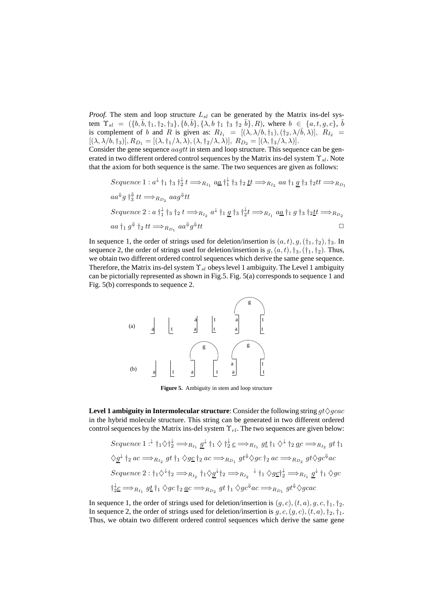*Proof.* The stem and loop structure  $L_{sl}$  can be generated by the Matrix ins-del system  $\Upsilon_{sl} = (\{b, \bar{b}, \dagger_1, \dagger_2, \dagger_3\}, \{b, \bar{b}\}, \{\lambda, b \dagger_1 \dagger_3 \dagger_2 \bar{b}\}, R)$ , where  $b \in \{a, t, g, c\}, \bar{b}$ is complement of b and R is given as:  $R_{I_1} = [(\lambda, \lambda/b, \dagger_1), (\dagger_2, \lambda/\overline{b}, \lambda)], R_{I_2} =$  $[(\lambda, \lambda/b, \dagger_3)], R_{D_1} = [(\lambda, \dagger_1/\lambda, \lambda), (\lambda, \dagger_2/\lambda, \lambda)], R_{D_2} = [(\lambda, \dagger_3/\lambda, \lambda)].$ 

Consider the gene sequence  $aagtt$  in stem and loop structure. This sequence can be generated in two different ordered control sequences by the Matrix ins-del system  $\Upsilon_{sl}$ . Note that the axiom for both sequence is the same. The two sequences are given as follows:

\n
$$
Sequence\ 1: a^{\downarrow} \uparrow_1 \uparrow_3 \uparrow_2^{\downarrow} t \Longrightarrow_{R_{I_1}} a\underline{a} \uparrow_1^{\downarrow} \uparrow_3 \uparrow_2 t \Longrightarrow_{R_{I_2}} a\underline{a} \uparrow_1 \underline{g} \uparrow_3 \uparrow_2 t t \Longrightarrow_{R_{D_1}} a\underline{a}^{\Downarrow} \uparrow_3 t \Longrightarrow_{R_{D_2}} a\underline{a} \uparrow_1^{\downarrow} \uparrow_3 \uparrow_2 t \Longrightarrow_{R_{I_2}} a\underline{a}^{\Downarrow} \uparrow_1 \underline{g} \uparrow_3 \uparrow_2^{\downarrow} t \Longrightarrow_{R_{I_1}} a\underline{a} \uparrow_1 g \uparrow_3 \uparrow_2 t t \Longrightarrow_{R_{D_2}} a\underline{a} \uparrow_1 g^{\Downarrow} \uparrow_2 t t \Longrightarrow_{R_{D_1}} a\underline{a}^{\Downarrow} \uparrow_2 t t \Longrightarrow_{R_{D_1}} a\underline{a}^{\Downarrow} \uparrow_2 t t \Longrightarrow_{R_{D_1}} a\underline{a}^{\Downarrow} \uparrow_2 t t \Longrightarrow_{R_{D_1}} a\underline{a}^{\Downarrow} \uparrow_2 t t \Longrightarrow_{R_{D_1}} a\underline{a}^{\Downarrow} \uparrow_2 t t \Longrightarrow_{R_{D_1}} a\underline{a}^{\Downarrow} \uparrow_2 t t \Longrightarrow_{R_{D_2}} a\underline{a}^{\Downarrow} \uparrow_2 t t \Longrightarrow_{R_{D_2}} a\underline{a}^{\Downarrow} \uparrow_2 t t \Longrightarrow_{R_{D_2}} a\underline{a}^{\Downarrow} \uparrow_2 t t \Longrightarrow_{R_{D_2}} a\underline{a}^{\Downarrow} \uparrow_2 t t \Longrightarrow_{R_{D_2}} a\underline{a}^{\Downarrow} \uparrow_2 t t \Longrightarrow_{R_{D_2}} a\underline{a}^{\Downarrow} \uparrow_2 t t \Longrightarrow_{R_{D_2}} a\underline{a}^{\Downarrow} \uparrow_2 t t \Longrightarrow_{R_{D_2}} a\underline{a}^{\Downarrow} \uparrow_2 t t \Longrightarrow_{R_{D_2}} a\underline{a}^{\Downarrow} \uparrow_2 t t \Longrightarrow_{R_{D_2}} a\underline{a}^{\Downarrow} \uparrow_2 t t \Longrightarrow_{R_{D_2}} a\underline{a}^{\Downarrow} \
$$

In sequence 1, the order of strings used for deletion/insertion is  $(a, t), g, (\dagger_1, \dagger_2), \dagger_3$ . In sequence 2, the order of strings used for deletion/insertion is  $g, (a, t)$ ,  $\dagger_3$ ,  $(\dagger_1, \dagger_2)$ . Thus, we obtain two different ordered control sequences which derive the same gene sequence. Therefore, the Matrix ins-del system  $\Upsilon_{sl}$  obeys level 1 ambiguity. The Level 1 ambiguity can be pictorially represented as shown in Fig.5. Fig. 5(a) corresponds to sequence 1 and Fig. 5(b) corresponds to sequence 2.



**Figure 5.** Ambiguity in stem and loop structure

**Level 1 ambiguity in Intermolecular structure**: Consider the following string  $gt\Diamond gcac$ in the hybrid molecule structure. This string can be generated in two different ordered control sequences by the Matrix ins-del system  $\Upsilon_{rl}$ . The two sequences are given below:

Sequence 1: 
$$
\downarrow \uparrow_1 \diamondsuit \uparrow_2^{\downarrow} \Longrightarrow_{R_{I_1}} g^{\downarrow} \uparrow_1 \diamondsuit \uparrow_2^{\downarrow} c \Longrightarrow_{R_{I_1}} g \underline{t} \uparrow_1 \diamondsuit \uparrow_2 a c \Longrightarrow_{R_{I_2}} g \underline{t} \uparrow_1
$$
  
\n $\diamondsuit \underline{g}^{\downarrow} \uparrow_2 a c \Longrightarrow_{R_{I_2}} g \underline{t} \uparrow_1 \diamondsuit g \underline{c} \uparrow_2 a c \Longrightarrow_{R_{D_1}} g \underline{t}^{\Downarrow} \diamondsuit g c \uparrow_2 a c \Longrightarrow_{R_{D_2}} g \underline{t} \diamondsuit g c^{\Downarrow} ac$   
\nSequence 2:  $\uparrow_1 \diamondsuit \uparrow_1 \Longrightarrow_{R_{I_2}} \uparrow_1 \diamondsuit \underline{g}^{\downarrow} \uparrow_2 \Longrightarrow_{R_{I_2}} \uparrow_1 \diamondsuit g \underline{c} \uparrow_2^{\downarrow} \Longrightarrow_{R_{I_1}} g^{\downarrow} \uparrow_1 \diamondsuit g c$   
\n $\uparrow_2^{\downarrow} \underline{c} \Longrightarrow_{R_{I_1}} g \underline{t} \uparrow_1 \diamondsuit g c \uparrow_2 a c \Longrightarrow_{R_{D_2}} g \underline{t} \uparrow_1 \diamondsuit g c^{\Downarrow} ac \Longrightarrow_{R_{D_1}} g \underline{t}^{\Downarrow} \diamondsuit g c ac$ 

In sequence 1, the order of strings used for deletion/insertion is  $(g, c)$ ,  $(t, a)$ ,  $g, c, \dagger_1, \dagger_2$ . In sequence 2, the order of strings used for deletion/insertion is  $g, c, (g, c), (t, a), \dagger_2, \dagger_1$ . Thus, we obtain two different ordered control sequences which derive the same gene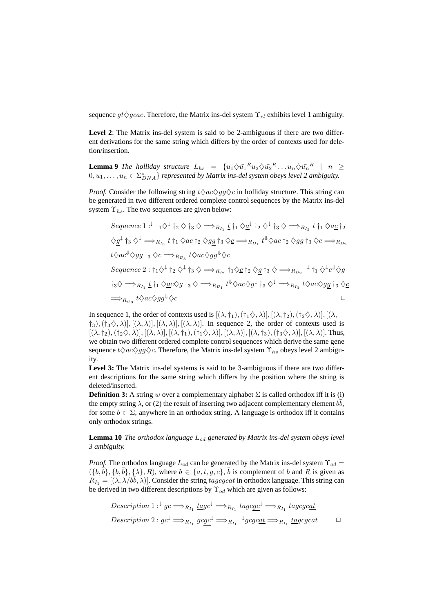sequence  $gt\Diamond gcac$ . Therefore, the Matrix ins-del system  $\Upsilon_{rl}$  exhibits level 1 ambiguity.

Level 2: The Matrix ins-del system is said to be 2-ambiguous if there are two different derivations for the same string which differs by the order of contexts used for deletion/insertion.

**Lemma 9** *The holliday structure*  $L_{hs} = \{u_1 \diamondsuit u_1^R u_2 \diamondsuit u_2^R \dots u_n \diamondsuit u_n^R \mid n \geq$  $(0, u_1, \ldots, u_n \in \Sigma_{DNA}^* \}$  represented by Matrix ins-del system obeys level 2 ambiguity.

*Proof.* Consider the following string  $t \Diamond ac \Diamond gg \Diamond c$  in holliday structure. This string can be generated in two different ordered complete control sequences by the Matrix ins-del system  $\Upsilon_{hs}$ . The two sequences are given below:

Sequence 1: 
$$
\pm \uparrow_1 \diamondsuit \pm \uparrow_2 \diamondsuit \uparrow_3 \diamond \implies_{R_{I_1}} \pm \uparrow_1 \diamondsuit \underline{a}^{\perp} \uparrow_2 \diamondsuit \uparrow_3 \diamond \implies_{R_{I_2}} t \uparrow_1 \diamondsuit a \underline{c} \uparrow_2
$$
  
\n $\diamondsuit \underline{g}^{\perp} \uparrow_3 \diamondsuit^{\perp} \implies_{R_{I_3}} t \uparrow_1 \diamondsuit ac \uparrow_2 \diamondsuit g \underline{g} \uparrow_3 \diamondsuit \underline{c} \implies_{R_{D_1}} t^{\Downarrow} \diamondsuit ac \uparrow_2 \diamondsuit g \underline{g} \uparrow_3 \diamondsuit c \implies_{R_{D_2}}$   
\n $t \diamondsuit ac^{\Downarrow} \diamondsuit g \underline{g} \uparrow_3 \diamondsuit c \implies_{R_{D_3}} t \diamondsuit ac \diamondsuit g \underline{g}^{\Downarrow} \diamondsuit c$   
\nSequence 2:  $\uparrow_1 \diamondsuit \uparrow_1 \diamondsuit \uparrow_2 \diamondsuit \uparrow_3 \diamond \implies_{R_{I_2}} \uparrow_1 \diamondsuit \underline{c} \uparrow_2 \diamondsuit \underline{g} \uparrow_3 \diamond \implies_{R_{D_2}} \uparrow_1 \diamondsuit \uparrow_c \uparrow \diamondsuit g$   
\n $\uparrow_3 \diamondsuit \implies_{R_{I_1}} \underline{t} \uparrow_1 \diamondsuit a \diamondsuit g \uparrow_3 \diamondsuit \implies_{R_{D_1}} t^{\Downarrow} \diamondsuit ac \diamondsuit g \underline{f}^{\perp} \uparrow_3 \diamondsuit^{\perp} \implies_{R_{I_3}} t \diamondsuit ac \diamondsuit g \underline{g} \uparrow_3 \diamondsuit c$ 

In sequence 1, the order of contexts used is  $[(\lambda, \dagger_1),(\dagger_1\Diamond,\lambda)], [(\lambda, \dagger_2),(\dagger_2\Diamond,\lambda)], [(\lambda,$  $\{\dagger_3\},\{\dagger_3\diamondsuit,\lambda\},[(\lambda,\lambda)],[(\lambda,\lambda)],[(\lambda,\lambda)].$  In sequence 2, the order of contexts used is  $[(\lambda, \dagger_2),(\dagger_2\Diamond,\lambda)], [(\lambda, \lambda)], [(\lambda, \dagger_1),(\dagger_1\Diamond,\lambda)], [(\lambda, \lambda)], [(\lambda, \dagger_3),(\dagger_3\Diamond,\lambda)], [(\lambda, \lambda)].$  Thus, we obtain two different ordered complete control sequences which derive the same gene sequence  $t \Diamond ac \Diamond gg \Diamond c$ . Therefore, the Matrix ins-del system  $\Upsilon_{hs}$  obeys level 2 ambiguity.

Level 3: The Matrix ins-del systems is said to be 3-ambiguous if there are two different descriptions for the same string which differs by the position where the string is deleted/inserted.

**Definition 3:** A string w over a complementary alphabet  $\Sigma$  is called orthodox iff it is (i) the empty string  $\lambda$ , or (2) the result of inserting two adjacent complementary element  $b\bar{b}$ , for some  $b \in \Sigma$ , anywhere in an orthodox string. A language is orthodox iff it contains only orthodox strings.

**Lemma 10** *The orthodox language* Lod *generated by Matrix ins-del system obeys level 3 ambiguity.*

*Proof.* The orthodox language  $L_{od}$  can be generated by the Matrix ins-del system  $\Upsilon_{od}$  =  $({b,\overline{b}}), {b,\overline{b}}$ ,  ${\lambda}, R$ , where  $b \in {a, t, g, c}$ ,  $\overline{b}$  is complement of b and R is given as  $R_{I_1} = [(\lambda, \lambda/b\bar{b}, \lambda)].$  Consider the string tagcgcat in orthodox language. This string can be derived in two different descriptions by  $\Upsilon_{od}$  which are given as follows:

$$
Description 1: \n\begin{aligned}\n\downarrow g &c \Longrightarrow_{R_{I_1}} \underline{t}agc^{\downarrow} \Longrightarrow_{R_{I_1}} tagc\underline{gc}^{\downarrow} \Longrightarrow_{R_{I_1}} tagc\underline{gc}\underline{at} \\
\downarrow g &c \Longrightarrow_{R_{I_1}} gc\underline{gc}^{\downarrow} \Longrightarrow_{R_{I_1}} \downarrow gc\underline{gc}\underline{at} \Longrightarrow_{R_{I_1}} \underline{t}agc\underline{c}at \qquad \Box\n\end{aligned}
$$